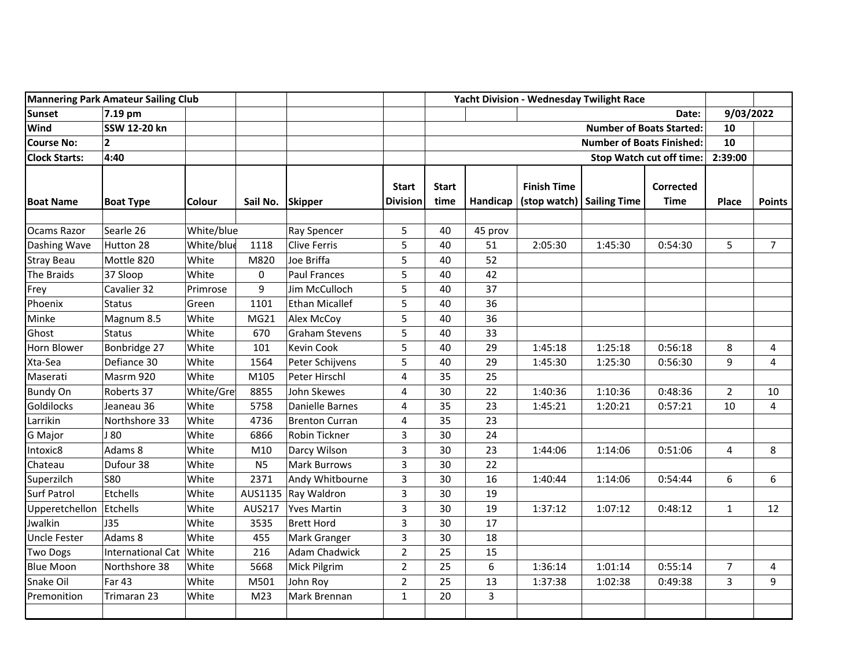| <b>Mannering Park Amateur Sailing Club</b> |                          |            |                  |                       |                                 | Yacht Division - Wednesday Twilight Race |                                 |                                                              |         |                                 |                |                         |
|--------------------------------------------|--------------------------|------------|------------------|-----------------------|---------------------------------|------------------------------------------|---------------------------------|--------------------------------------------------------------|---------|---------------------------------|----------------|-------------------------|
| <b>Sunset</b>                              | $7.19$ pm                |            |                  |                       |                                 |                                          |                                 |                                                              |         | Date:                           | 9/03/2022      |                         |
| Wind                                       | SSW 12-20 kn             |            |                  |                       |                                 |                                          | <b>Number of Boats Started:</b> |                                                              |         |                                 | 10             |                         |
| <b>Course No:</b>                          | $\overline{2}$           |            |                  |                       |                                 | <b>Number of Boats Finished:</b>         |                                 |                                                              | 10      |                                 |                |                         |
| <b>Clock Starts:</b>                       | 4:40                     |            |                  |                       |                                 | <b>Stop Watch cut off time:</b>          |                                 |                                                              | 2:39:00 |                                 |                |                         |
| <b>Boat Name</b>                           | <b>Boat Type</b>         | Colour     | Sail No. Skipper |                       | <b>Start</b><br><b>Division</b> | <b>Start</b><br>time                     |                                 | <b>Finish Time</b><br>Handicap   (stop watch)   Sailing Time |         | <b>Corrected</b><br><b>Time</b> | <b>Place</b>   | <b>Points</b>           |
| Ocams Razor                                | White/blue<br>Searle 26  |            |                  | Ray Spencer           | 5                               | 40                                       | 45 prov                         |                                                              |         |                                 |                |                         |
| Dashing Wave                               | Hutton 28                | White/blue | 1118             | <b>Clive Ferris</b>   | 5                               | 40                                       | 51                              | 2:05:30                                                      | 1:45:30 | 0:54:30                         | 5              | $\overline{7}$          |
| <b>Stray Beau</b>                          | Mottle 820               | White      | M820             | Joe Briffa            | 5                               | 40                                       | 52                              |                                                              |         |                                 |                |                         |
| The Braids                                 | 37 Sloop                 | White      | 0                | Paul Frances          | 5                               | 40                                       | 42                              |                                                              |         |                                 |                |                         |
| Frey                                       | Cavalier 32              | Primrose   | 9                | Jim McCulloch         | 5                               | 40                                       | 37                              |                                                              |         |                                 |                |                         |
| Phoenix                                    | <b>Status</b>            | Green      | 1101             | Ethan Micallef        | 5                               | 40                                       | 36                              |                                                              |         |                                 |                |                         |
| Minke                                      | Magnum 8.5               | White      | MG21             | Alex McCoy            | 5                               | 40                                       | 36                              |                                                              |         |                                 |                |                         |
| Ghost                                      | <b>Status</b>            | White      | 670              | <b>Graham Stevens</b> | 5                               | 40                                       | 33                              |                                                              |         |                                 |                |                         |
| Horn Blower                                | Bonbridge 27             | White      | 101              | Kevin Cook            | 5                               | 40                                       | 29                              | 1:45:18                                                      | 1:25:18 | 0:56:18                         | 8              | 4                       |
| Xta-Sea                                    | Defiance 30              | White      | 1564             | Peter Schijvens       | 5                               | 40                                       | 29                              | 1:45:30                                                      | 1:25:30 | 0:56:30                         | 9              | $\overline{\mathbf{4}}$ |
| Maserati                                   | Masrm 920                | White      | M105             | Peter Hirschl         | 4                               | 35                                       | 25                              |                                                              |         |                                 |                |                         |
| <b>Bundy On</b>                            | Roberts 37               | White/Gre  | 8855             | John Skewes           | 4                               | 30                                       | 22                              | 1:40:36                                                      | 1:10:36 | 0:48:36                         | $\overline{2}$ | 10                      |
| Goldilocks                                 | Jeaneau 36               | White      | 5758             | Danielle Barnes       | 4                               | 35                                       | 23                              | 1:45:21                                                      | 1:20:21 | 0:57:21                         | 10             | 4                       |
| Larrikin                                   | Northshore 33            | White      | 4736             | Brenton Curran        | 4                               | 35                                       | 23                              |                                                              |         |                                 |                |                         |
| G Major                                    | J80                      | White      | 6866             | Robin Tickner         | 3                               | 30                                       | 24                              |                                                              |         |                                 |                |                         |
| Intoxic8                                   | Adams 8                  | White      | M10              | Darcy Wilson          | 3                               | 30                                       | 23                              | 1:44:06                                                      | 1:14:06 | 0:51:06                         | $\overline{4}$ | 8                       |
| Chateau                                    | Dufour 38                | White      | N <sub>5</sub>   | Mark Burrows          | 3                               | 30                                       | 22                              |                                                              |         |                                 |                |                         |
| Superzilch                                 | <b>S80</b>               | White      | 2371             | Andy Whitbourne       | 3                               | 30                                       | 16                              | 1:40:44                                                      | 1:14:06 | 0:54:44                         | 6              | 6                       |
| <b>Surf Patrol</b>                         | Etchells                 | White      | AUS1135          | Ray Waldron           | 3                               | 30                                       | 19                              |                                                              |         |                                 |                |                         |
| Upperetchellon                             | Etchells                 | White      | AUS217           | <b>Yves Martin</b>    | 3                               | 30                                       | 19                              | 1:37:12                                                      | 1:07:12 | 0:48:12                         | $\mathbf{1}$   | 12                      |
| Jwalkin                                    | J35                      | White      | 3535             | <b>Brett Hord</b>     | 3                               | 30                                       | 17                              |                                                              |         |                                 |                |                         |
| Uncle Fester                               | Adams 8                  | White      | 455              | Mark Granger          | 3                               | 30                                       | 18                              |                                                              |         |                                 |                |                         |
| <b>Two Dogs</b>                            | <b>International Cat</b> | White      | 216              | Adam Chadwick         | $\overline{2}$                  | 25                                       | 15                              |                                                              |         |                                 |                |                         |
| <b>Blue Moon</b>                           | Northshore 38            | White      | 5668             | Mick Pilgrim          | $\overline{2}$                  | 25                                       | 6                               | 1:36:14                                                      | 1:01:14 | 0:55:14                         | $\overline{7}$ | 4                       |
| Snake Oil                                  | <b>Far 43</b>            | White      | M501             | John Roy              | $\overline{2}$                  | 25                                       | 13                              | 1:37:38                                                      | 1:02:38 | 0:49:38                         | 3              | 9                       |
| Premonition                                | Trimaran 23              | White      | M <sub>23</sub>  | Mark Brennan          | $\mathbf{1}$                    | 20                                       | 3                               |                                                              |         |                                 |                |                         |
|                                            |                          |            |                  |                       |                                 |                                          |                                 |                                                              |         |                                 |                |                         |